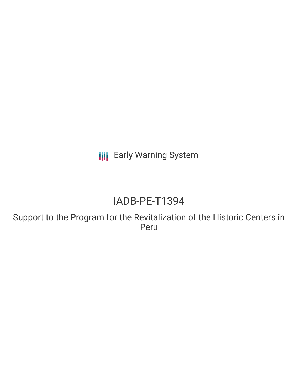**III** Early Warning System

# IADB-PE-T1394

Support to the Program for the Revitalization of the Historic Centers in Peru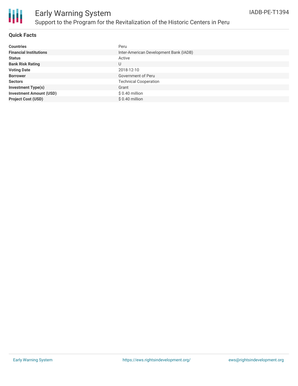

### **Quick Facts**

| <b>Countries</b>               | Peru                                   |
|--------------------------------|----------------------------------------|
| <b>Financial Institutions</b>  | Inter-American Development Bank (IADB) |
| <b>Status</b>                  | Active                                 |
| <b>Bank Risk Rating</b>        | U                                      |
| <b>Voting Date</b>             | 2018-12-10                             |
| <b>Borrower</b>                | Government of Peru                     |
| <b>Sectors</b>                 | <b>Technical Cooperation</b>           |
| <b>Investment Type(s)</b>      | Grant                                  |
| <b>Investment Amount (USD)</b> | $$0.40$ million                        |
| <b>Project Cost (USD)</b>      | $$0.40$ million                        |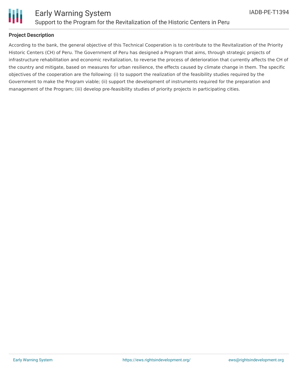

### **Project Description**

According to the bank, the general objective of this Technical Cooperation is to contribute to the Revitalization of the Priority Historic Centers (CH) of Peru. The Government of Peru has designed a Program that aims, through strategic projects of infrastructure rehabilitation and economic revitalization, to reverse the process of deterioration that currently affects the CH of the country and mitigate, based on measures for urban resilience, the effects caused by climate change in them. The specific objectives of the cooperation are the following: (i) to support the realization of the feasibility studies required by the Government to make the Program viable; (ii) support the development of instruments required for the preparation and management of the Program; (iii) develop pre-feasibility studies of priority projects in participating cities.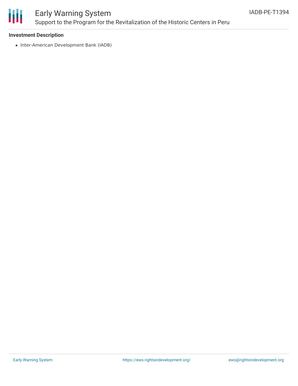

## Early Warning System Support to the Program for the Revitalization of the Historic Centers in Peru

### **Investment Description**

• Inter-American Development Bank (IADB)